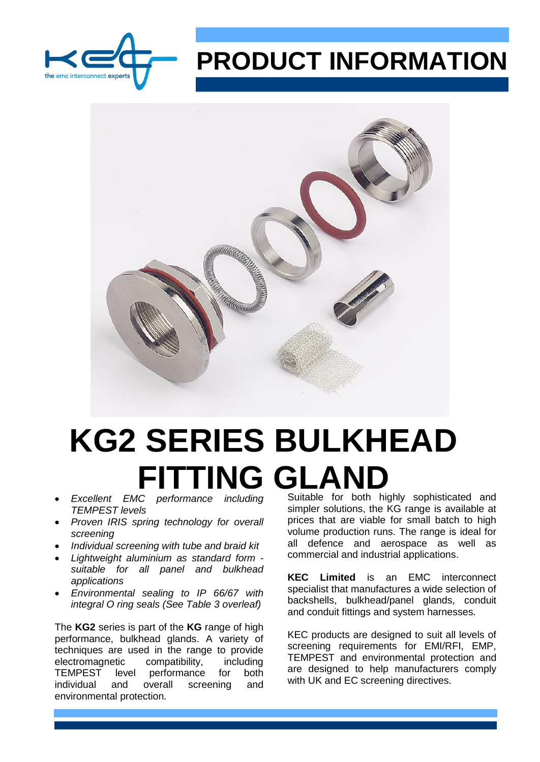

## **PRODUCT INFORMATION**



## **KG2 SERIES BULKHEAD FITTING GLAND**<br>Excellent EMC performance including Suitable for both high

- *TEMPEST levels*
- *Proven IRIS spring technology for overall screening*
- *Individual screening with tube and braid kit*
- *Lightweight aluminium as standard form suitable for all panel and bulkhead applications*
- *Environmental sealing to IP 66/67 with integral O ring seals (See Table 3 overleaf)*

The **KG2** series is part of the **KG** range of high performance, bulkhead glands. A variety of techniques are used in the range to provide electromagnetic compatibility, including TEMPEST level performance for both individual and overall screening and environmental protection.

Suitable for both highly sophisticated and simpler solutions, the KG range is available at prices that are viable for small batch to high volume production runs. The range is ideal for all defence and aerospace as well as commercial and industrial applications.

**KEC Limited** is an EMC interconnect specialist that manufactures a wide selection of backshells, bulkhead/panel glands, conduit and conduit fittings and system harnesses.

KEC products are designed to suit all levels of screening requirements for EMI/RFI, EMP, TEMPEST and environmental protection and are designed to help manufacturers comply with UK and EC screening directives.

03/20